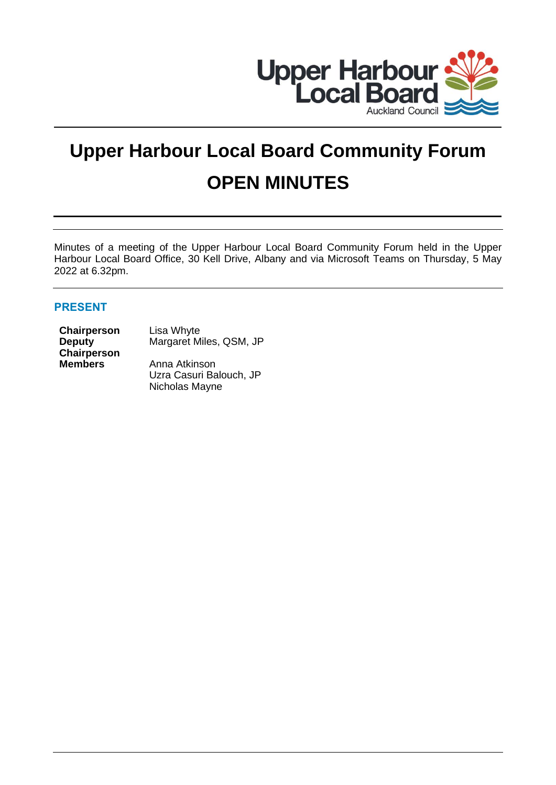

# **Upper Harbour Local Board Community Forum OPEN MINUTES**

Minutes of a meeting of the Upper Harbour Local Board Community Forum held in the Upper Harbour Local Board Office, 30 Kell Drive, Albany and via Microsoft Teams on Thursday, 5 May 2022 at 6.32pm.

# **PRESENT**

**Chairperson** Lisa Whyte **Deputy Chairperson**

Margaret Miles, QSM, JP

**Members** Anna Atkinson Uzra Casuri Balouch, JP Nicholas Mayne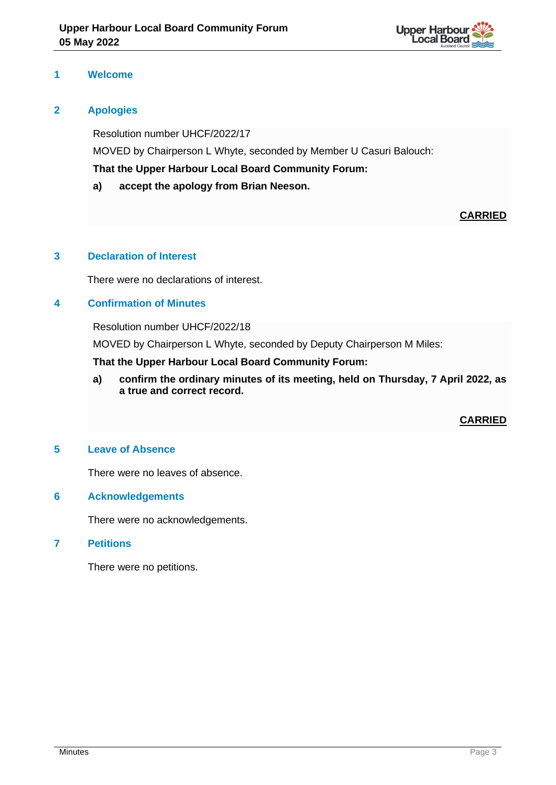

## **1 Welcome**

## **2 Apologies**

Resolution number UHCF/2022/17 MOVED by Chairperson L Whyte, seconded by Member U Casuri Balouch: **That the Upper Harbour Local Board Community Forum:**

**a) accept the apology from Brian Neeson.**

# **CARRIED**

#### **3 Declaration of Interest**

There were no declarations of interest.

# **4 Confirmation of Minutes**

Resolution number UHCF/2022/18

MOVED by Chairperson L Whyte, seconded by Deputy Chairperson M Miles:

**That the Upper Harbour Local Board Community Forum:**

**a) confirm the ordinary minutes of its meeting, held on Thursday, 7 April 2022, as a true and correct record.**

#### **CARRIED**

#### **5 Leave of Absence**

There were no leaves of absence.

#### **6 Acknowledgements**

There were no acknowledgements.

#### **7 Petitions**

There were no petitions.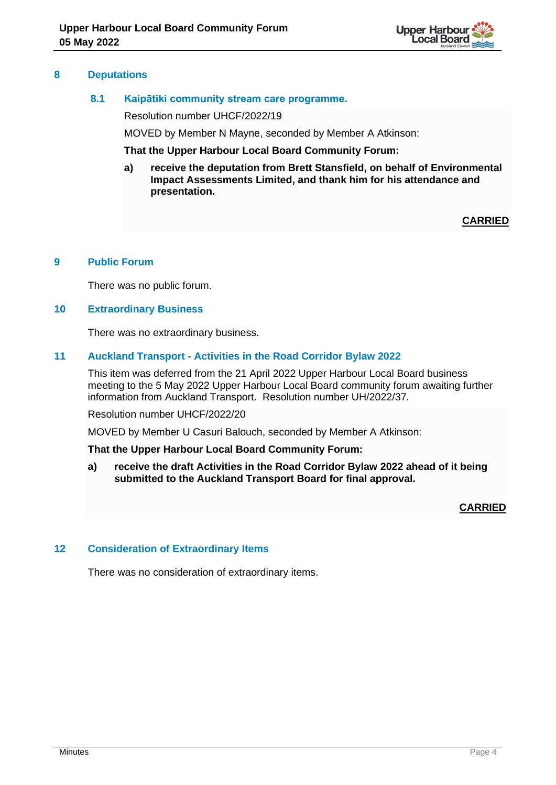

#### **8 Deputations**

## **8.1 Kaipātiki community stream care programme.**

Resolution number UHCF/2022/19

MOVED by Member N Mayne, seconded by Member A Atkinson:

**That the Upper Harbour Local Board Community Forum:**

**a) receive the deputation from Brett Stansfield, on behalf of Environmental Impact Assessments Limited, and thank him for his attendance and presentation.**

**CARRIED**

## **9 Public Forum**

There was no public forum.

#### **10 Extraordinary Business**

There was no extraordinary business.

#### **11 Auckland Transport - Activities in the Road Corridor Bylaw 2022**

This item was deferred from the 21 April 2022 Upper Harbour Local Board business meeting to the 5 May 2022 Upper Harbour Local Board community forum awaiting further information from Auckland Transport. Resolution number UH/2022/37.

Resolution number UHCF/2022/20

MOVED by Member U Casuri Balouch, seconded by Member A Atkinson:

#### **That the Upper Harbour Local Board Community Forum:**

**a) receive the draft Activities in the Road Corridor Bylaw 2022 ahead of it being submitted to the Auckland Transport Board for final approval.** 

**CARRIED**

#### **12 Consideration of Extraordinary Items**

There was no consideration of extraordinary items.